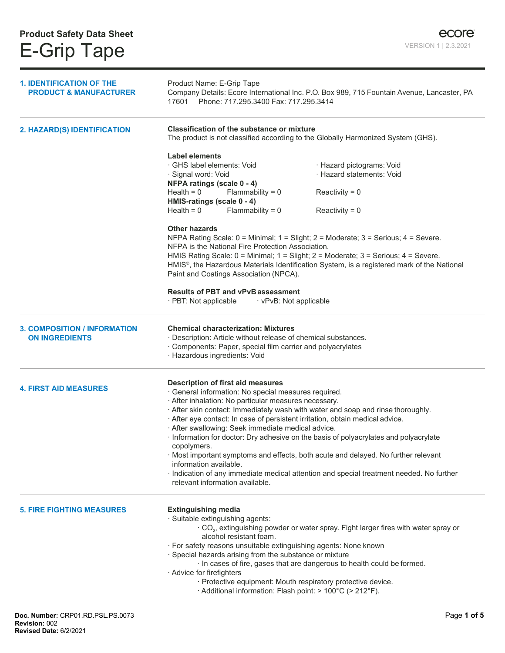| <b>1. IDENTIFICATION OF THE</b><br><b>PRODUCT &amp; MANUFACTURER</b> | Product Name: E-Grip Tape<br>Company Details: Ecore International Inc. P.O. Box 989, 715 Fountain Avenue, Lancaster, PA<br>17601 Phone: 717.295.3400 Fax: 717.295.3414                                       |                                                                                                         |  |
|----------------------------------------------------------------------|--------------------------------------------------------------------------------------------------------------------------------------------------------------------------------------------------------------|---------------------------------------------------------------------------------------------------------|--|
| 2. HAZARD(S) IDENTIFICATION                                          | <b>Classification of the substance or mixture</b><br>The product is not classified according to the Globally Harmonized System (GHS).                                                                        |                                                                                                         |  |
|                                                                      | <b>Label elements</b>                                                                                                                                                                                        |                                                                                                         |  |
|                                                                      | · GHS label elements: Void                                                                                                                                                                                   | · Hazard pictograms: Void                                                                               |  |
|                                                                      | · Signal word: Void                                                                                                                                                                                          | · Hazard statements: Void                                                                               |  |
|                                                                      | NFPA ratings (scale 0 - 4)                                                                                                                                                                                   |                                                                                                         |  |
|                                                                      | Health = $0$<br>Flammability = $0$                                                                                                                                                                           | Reactivity = $0$                                                                                        |  |
|                                                                      | HMIS-ratings (scale 0 - 4)                                                                                                                                                                                   |                                                                                                         |  |
|                                                                      | Flammability = $0$<br>Health = $0$                                                                                                                                                                           | Reactivity = $0$                                                                                        |  |
|                                                                      | <b>Other hazards</b>                                                                                                                                                                                         |                                                                                                         |  |
|                                                                      | NFPA Rating Scale: 0 = Minimal; 1 = Slight; 2 = Moderate; 3 = Serious; 4 = Severe.                                                                                                                           |                                                                                                         |  |
|                                                                      | NFPA is the National Fire Protection Association.                                                                                                                                                            |                                                                                                         |  |
|                                                                      | HMIS Rating Scale: 0 = Minimal; 1 = Slight; 2 = Moderate; 3 = Serious; 4 = Severe.                                                                                                                           |                                                                                                         |  |
|                                                                      |                                                                                                                                                                                                              | HMIS <sup>®</sup> , the Hazardous Materials Identification System, is a registered mark of the National |  |
|                                                                      | Paint and Coatings Association (NPCA).                                                                                                                                                                       |                                                                                                         |  |
|                                                                      |                                                                                                                                                                                                              |                                                                                                         |  |
|                                                                      | <b>Results of PBT and vPvB assessment</b><br>· PBT: Not applicable<br>· vPvB: Not applicable                                                                                                                 |                                                                                                         |  |
|                                                                      |                                                                                                                                                                                                              |                                                                                                         |  |
| <b>3. COMPOSITION / INFORMATION</b><br><b>ON INGREDIENTS</b>         | <b>Chemical characterization: Mixtures</b><br>· Description: Article without release of chemical substances.<br>· Components: Paper, special film carrier and polyacrylates<br>· Hazardous ingredients: Void |                                                                                                         |  |
|                                                                      | Description of first aid measures                                                                                                                                                                            |                                                                                                         |  |
| <b>4. FIRST AID MEASURES</b>                                         | · General information: No special measures required.                                                                                                                                                         |                                                                                                         |  |
|                                                                      | · After inhalation: No particular measures necessary.                                                                                                                                                        |                                                                                                         |  |
|                                                                      | · After skin contact: Immediately wash with water and soap and rinse thoroughly.                                                                                                                             |                                                                                                         |  |
|                                                                      | · After eye contact: In case of persistent irritation, obtain medical advice.                                                                                                                                |                                                                                                         |  |
|                                                                      | · After swallowing: Seek immediate medical advice.                                                                                                                                                           |                                                                                                         |  |
|                                                                      | · Information for doctor: Dry adhesive on the basis of polyacrylates and polyacrylate<br>copolymers.                                                                                                         |                                                                                                         |  |
|                                                                      | · Most important symptoms and effects, both acute and delayed. No further relevant                                                                                                                           |                                                                                                         |  |
|                                                                      | information available.                                                                                                                                                                                       |                                                                                                         |  |
|                                                                      | · Indication of any immediate medical attention and special treatment needed. No further                                                                                                                     |                                                                                                         |  |
|                                                                      | relevant information available.                                                                                                                                                                              |                                                                                                         |  |
|                                                                      |                                                                                                                                                                                                              |                                                                                                         |  |
| <b>5. FIRE FIGHTING MEASURES</b>                                     | <b>Extinguishing media</b>                                                                                                                                                                                   |                                                                                                         |  |
|                                                                      | · Suitable extinguishing agents:                                                                                                                                                                             |                                                                                                         |  |
|                                                                      | $\cdot$ CO <sub>2</sub> , extinguishing powder or water spray. Fight larger fires with water spray or<br>alcohol resistant foam.                                                                             |                                                                                                         |  |
|                                                                      | · For safety reasons unsuitable extinguishing agents: None known                                                                                                                                             |                                                                                                         |  |
|                                                                      | · Special hazards arising from the substance or mixture                                                                                                                                                      |                                                                                                         |  |
|                                                                      | · In cases of fire, gases that are dangerous to health could be formed.                                                                                                                                      |                                                                                                         |  |
|                                                                      | · Advice for firefighters                                                                                                                                                                                    |                                                                                                         |  |
|                                                                      | · Protective equipment: Mouth respiratory protective device.                                                                                                                                                 |                                                                                                         |  |
|                                                                      | · Additional information: Flash point: > 100°C (> 212°F).                                                                                                                                                    |                                                                                                         |  |
|                                                                      |                                                                                                                                                                                                              |                                                                                                         |  |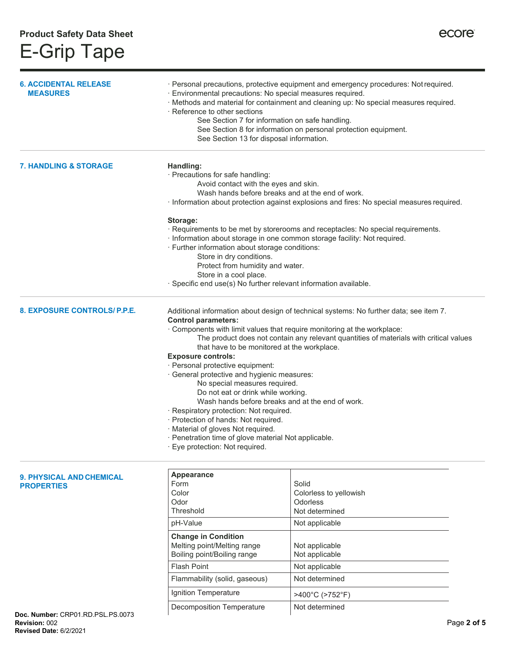| <b>6. ACCIDENTAL RELEASE</b><br><b>MEASURES</b>      | · Environmental precautions: No special measures required.<br>$\cdot$ Reference to other sections<br>See Section 7 for information on safe handling.<br>See Section 13 for disposal information.                                                                                                                                                                                                                                                                                                                                                                                                                                                                                                                                                                                                         | · Personal precautions, protective equipment and emergency procedures: Not required.<br>· Methods and material for containment and cleaning up: No special measures required.<br>See Section 8 for information on personal protection equipment. |
|------------------------------------------------------|----------------------------------------------------------------------------------------------------------------------------------------------------------------------------------------------------------------------------------------------------------------------------------------------------------------------------------------------------------------------------------------------------------------------------------------------------------------------------------------------------------------------------------------------------------------------------------------------------------------------------------------------------------------------------------------------------------------------------------------------------------------------------------------------------------|--------------------------------------------------------------------------------------------------------------------------------------------------------------------------------------------------------------------------------------------------|
| <b>7. HANDLING &amp; STORAGE</b>                     | Handling:<br>· Precautions for safe handling:<br>Avoid contact with the eyes and skin.<br>Wash hands before breaks and at the end of work.<br>· Information about protection against explosions and fires: No special measures required.<br>Storage:<br>· Requirements to be met by storerooms and receptacles: No special requirements.<br>· Information about storage in one common storage facility: Not required.<br>· Further information about storage conditions:<br>Store in dry conditions.<br>Protect from humidity and water.<br>Store in a cool place.<br>· Specific end use(s) No further relevant information available.                                                                                                                                                                   |                                                                                                                                                                                                                                                  |
| 8. EXPOSURE CONTROLS/P.P.E.                          | Additional information about design of technical systems: No further data; see item 7.<br><b>Control parameters:</b><br>· Components with limit values that require monitoring at the workplace:<br>The product does not contain any relevant quantities of materials with critical values<br>that have to be monitored at the workplace.<br><b>Exposure controls:</b><br>· Personal protective equipment:<br>· General protective and hygienic measures:<br>No special measures required.<br>Do not eat or drink while working.<br>Wash hands before breaks and at the end of work.<br>· Respiratory protection: Not required.<br>· Protection of hands: Not required.<br>· Material of gloves Not required.<br>· Penetration time of glove material Not applicable.<br>· Eye protection: Not required. |                                                                                                                                                                                                                                                  |
| <b>9. PHYSICAL AND CHEMICAL</b><br><b>PROPERTIES</b> | <b>Appearance</b><br>Form<br>Color                                                                                                                                                                                                                                                                                                                                                                                                                                                                                                                                                                                                                                                                                                                                                                       | Solid<br>Colorless to yellowish                                                                                                                                                                                                                  |

pH-Value Not applicable

Flash Point Not applicable Flammability (solid, gaseous) Not determined Ignition Temperature | >400°C (>752°F) Decomposition Temperature Not determined

**Odorless** Not determined

Not applicable Not applicable

Odor Threshold

**Change in Condition**  Melting point/Melting range Boiling point/Boiling range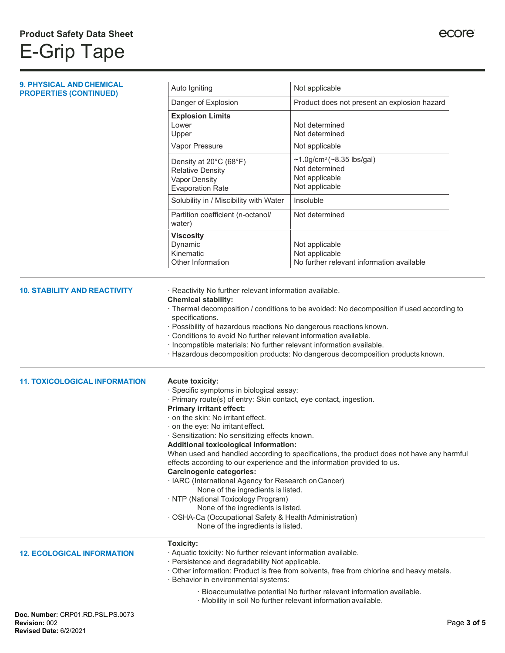| 9. PHYSICAL AND CHEMICAL                                  | Auto Igniting                                                                                                                                                                                                                                                                                                                                                                                                                                                                                                                                                                                                                                                                                                                                                                                                                       | Not applicable                                                                                                                                                              |
|-----------------------------------------------------------|-------------------------------------------------------------------------------------------------------------------------------------------------------------------------------------------------------------------------------------------------------------------------------------------------------------------------------------------------------------------------------------------------------------------------------------------------------------------------------------------------------------------------------------------------------------------------------------------------------------------------------------------------------------------------------------------------------------------------------------------------------------------------------------------------------------------------------------|-----------------------------------------------------------------------------------------------------------------------------------------------------------------------------|
| <b>PROPERTIES (CONTINUED)</b>                             | Danger of Explosion                                                                                                                                                                                                                                                                                                                                                                                                                                                                                                                                                                                                                                                                                                                                                                                                                 | Product does not present an explosion hazard                                                                                                                                |
|                                                           | <b>Explosion Limits</b><br>Lower<br>Upper                                                                                                                                                                                                                                                                                                                                                                                                                                                                                                                                                                                                                                                                                                                                                                                           | Not determined<br>Not determined                                                                                                                                            |
|                                                           | Vapor Pressure                                                                                                                                                                                                                                                                                                                                                                                                                                                                                                                                                                                                                                                                                                                                                                                                                      | Not applicable                                                                                                                                                              |
|                                                           | Density at 20°C (68°F)<br><b>Relative Density</b><br><b>Vapor Density</b><br><b>Evaporation Rate</b>                                                                                                                                                                                                                                                                                                                                                                                                                                                                                                                                                                                                                                                                                                                                | $~1.0$ g/cm <sup>3</sup> (~8.35 lbs/gal)<br>Not determined<br>Not applicable<br>Not applicable                                                                              |
|                                                           | Solubility in / Miscibility with Water                                                                                                                                                                                                                                                                                                                                                                                                                                                                                                                                                                                                                                                                                                                                                                                              | Insoluble                                                                                                                                                                   |
|                                                           | Partition coefficient (n-octanol/<br>water)                                                                                                                                                                                                                                                                                                                                                                                                                                                                                                                                                                                                                                                                                                                                                                                         | Not determined                                                                                                                                                              |
|                                                           | <b>Viscosity</b><br>Dynamic<br>Kinematic<br>Other Information                                                                                                                                                                                                                                                                                                                                                                                                                                                                                                                                                                                                                                                                                                                                                                       | Not applicable<br>Not applicable<br>No further relevant information available                                                                                               |
| <b>10. STABILITY AND REACTIVITY</b>                       | · Reactivity No further relevant information available.<br><b>Chemical stability:</b><br>specifications.<br>· Possibility of hazardous reactions No dangerous reactions known.<br>· Conditions to avoid No further relevant information available.<br>· Incompatible materials: No further relevant information available.                                                                                                                                                                                                                                                                                                                                                                                                                                                                                                          | · Thermal decomposition / conditions to be avoided: No decomposition if used according to<br>· Hazardous decomposition products: No dangerous decomposition products known. |
| <b>11. TOXICOLOGICAL INFORMATION</b>                      | <b>Acute toxicity:</b><br>· Specific symptoms in biological assay:<br>· Primary route(s) of entry: Skin contact, eye contact, ingestion.<br><b>Primary irritant effect:</b><br>on the skin: No irritant effect.<br>on the eye: No irritant effect.<br>· Sensitization: No sensitizing effects known.<br>Additional toxicological information:<br>When used and handled according to specifications, the product does not have any harmful<br>effects according to our experience and the information provided to us.<br><b>Carcinogenic categories:</b><br>· IARC (International Agency for Research on Cancer)<br>None of the ingredients is listed.<br>· NTP (National Toxicology Program)<br>None of the ingredients is listed.<br>· OSHA-Ca (Occupational Safety & Health Administration)<br>None of the ingredients is listed. |                                                                                                                                                                             |
| <b>12. ECOLOGICAL INFORMATION</b>                         | <b>Toxicity:</b><br>· Aquatic toxicity: No further relevant information available.<br>· Persistence and degradability Not applicable.<br>· Behavior in environmental systems:                                                                                                                                                                                                                                                                                                                                                                                                                                                                                                                                                                                                                                                       | · Other information: Product is free from solvents, free from chlorine and heavy metals.                                                                                    |
|                                                           |                                                                                                                                                                                                                                                                                                                                                                                                                                                                                                                                                                                                                                                                                                                                                                                                                                     | · Bioaccumulative potential No further relevant information available.<br>· Mobility in soil No further relevant information available.                                     |
| Doc. Number: CRP01.RD.PSL.PS.0073<br><b>Revision: 002</b> |                                                                                                                                                                                                                                                                                                                                                                                                                                                                                                                                                                                                                                                                                                                                                                                                                                     | Page 3 of 5                                                                                                                                                                 |

## **Revised Date:** 6/2/2021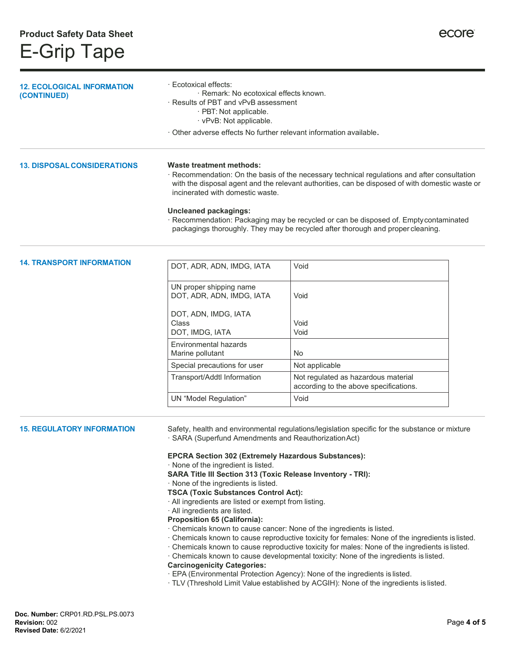## E-Grip Tape

| <b>12. ECOLOGICAL INFORMATION</b><br>(CONTINUED) | · Ecotoxical effects:<br>· Remark: No ecotoxical effects known.<br>· Results of PBT and vPvB assessment<br>· PBT: Not applicable.<br>· vPvB: Not applicable.<br>Other adverse effects No further relevant information available.                                                                                                                                                                                                                                                                                                                                                                                                                                                                                                                                                                                                                                                                                                                                                                                                                                                                                                          |                                                                               |  |
|--------------------------------------------------|-------------------------------------------------------------------------------------------------------------------------------------------------------------------------------------------------------------------------------------------------------------------------------------------------------------------------------------------------------------------------------------------------------------------------------------------------------------------------------------------------------------------------------------------------------------------------------------------------------------------------------------------------------------------------------------------------------------------------------------------------------------------------------------------------------------------------------------------------------------------------------------------------------------------------------------------------------------------------------------------------------------------------------------------------------------------------------------------------------------------------------------------|-------------------------------------------------------------------------------|--|
|                                                  |                                                                                                                                                                                                                                                                                                                                                                                                                                                                                                                                                                                                                                                                                                                                                                                                                                                                                                                                                                                                                                                                                                                                           |                                                                               |  |
| <b>13. DISPOSAL CONSIDERATIONS</b>               | Waste treatment methods:<br>· Recommendation: On the basis of the necessary technical regulations and after consultation<br>with the disposal agent and the relevant authorities, can be disposed of with domestic waste or<br>incinerated with domestic waste.<br><b>Uncleaned packagings:</b><br>· Recommendation: Packaging may be recycled or can be disposed of. Empty contaminated<br>packagings thoroughly. They may be recycled after thorough and proper cleaning.                                                                                                                                                                                                                                                                                                                                                                                                                                                                                                                                                                                                                                                               |                                                                               |  |
| <b>14. TRANSPORT INFORMATION</b>                 | DOT, ADR, ADN, IMDG, IATA                                                                                                                                                                                                                                                                                                                                                                                                                                                                                                                                                                                                                                                                                                                                                                                                                                                                                                                                                                                                                                                                                                                 | Void                                                                          |  |
|                                                  | UN proper shipping name<br>DOT, ADR, ADN, IMDG, IATA                                                                                                                                                                                                                                                                                                                                                                                                                                                                                                                                                                                                                                                                                                                                                                                                                                                                                                                                                                                                                                                                                      | Void                                                                          |  |
|                                                  | DOT, ADN, IMDG, IATA<br>Class<br>DOT, IMDG, IATA                                                                                                                                                                                                                                                                                                                                                                                                                                                                                                                                                                                                                                                                                                                                                                                                                                                                                                                                                                                                                                                                                          | Void<br>Void                                                                  |  |
|                                                  | Environmental hazards<br>Marine pollutant                                                                                                                                                                                                                                                                                                                                                                                                                                                                                                                                                                                                                                                                                                                                                                                                                                                                                                                                                                                                                                                                                                 | No                                                                            |  |
|                                                  | Special precautions for user                                                                                                                                                                                                                                                                                                                                                                                                                                                                                                                                                                                                                                                                                                                                                                                                                                                                                                                                                                                                                                                                                                              | Not applicable                                                                |  |
|                                                  | Transport/Addtl Information                                                                                                                                                                                                                                                                                                                                                                                                                                                                                                                                                                                                                                                                                                                                                                                                                                                                                                                                                                                                                                                                                                               | Not regulated as hazardous material<br>according to the above specifications. |  |
|                                                  | <b>UN</b> "Model Regulation"                                                                                                                                                                                                                                                                                                                                                                                                                                                                                                                                                                                                                                                                                                                                                                                                                                                                                                                                                                                                                                                                                                              | Void                                                                          |  |
| <b>15. REGULATORY INFORMATION</b>                | Safety, health and environmental regulations/legislation specific for the substance or mixture<br>· SARA (Superfund Amendments and Reauthorization Act)<br><b>EPCRA Section 302 (Extremely Hazardous Substances):</b><br>· None of the ingredient is listed.<br>SARA Title III Section 313 (Toxic Release Inventory - TRI):<br>· None of the ingredients is listed.<br><b>TSCA (Toxic Substances Control Act):</b><br>· All ingredients are listed or exempt from listing.<br>· All ingredients are listed.<br><b>Proposition 65 (California):</b><br>· Chemicals known to cause cancer: None of the ingredients is listed.<br>· Chemicals known to cause reproductive toxicity for females: None of the ingredients is listed.<br>· Chemicals known to cause reproductive toxicity for males: None of the ingredients is listed.<br>· Chemicals known to cause developmental toxicity: None of the ingredients is listed.<br><b>Carcinogenicity Categories:</b><br>· EPA (Environmental Protection Agency): None of the ingredients is listed.<br>· TLV (Threshold Limit Value established by ACGIH): None of the ingredients is listed. |                                                                               |  |